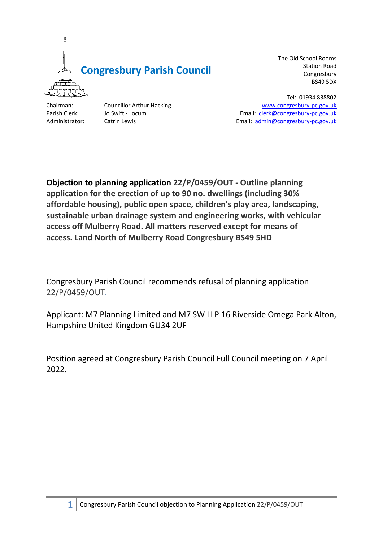

The Old School Rooms Station Road Congresbury BS49 5DX

Tel: 01934 838802 Chairman: Councillor Arthur Hacking [www.congresbury-pc.gov.uk](http://www.congresbury-pc.gov.uk/) Parish Clerk: Jo Swift - Locum **Email: [clerk@congresbury-pc.gov.uk](mailto:clerk@congresbury-pc.gov.uk)** Administrator: Catrin Lewis **Email:** [admin@congresbury-pc.gov.uk](mailto:admin@congresbury-pc.gov.uk)

**Objection to planning application 22/P/0459/OUT - Outline planning application for the erection of up to 90 no. dwellings (including 30% affordable housing), public open space, children's play area, landscaping, sustainable urban drainage system and engineering works, with vehicular access off Mulberry Road. All matters reserved except for means of access. Land North of Mulberry Road Congresbury BS49 5HD**

Congresbury Parish Council recommends refusal of planning application 22/P/0459/OUT.

Applicant: M7 Planning Limited and M7 SW LLP 16 Riverside Omega Park Alton, Hampshire United Kingdom GU34 2UF

Position agreed at Congresbury Parish Council Full Council meeting on 7 April 2022.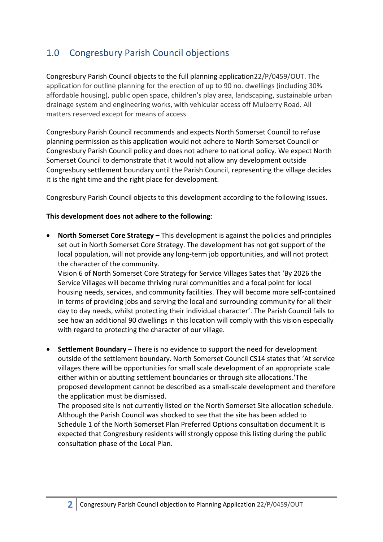# 1.0 Congresbury Parish Council objections

Congresbury Parish Council objects to the full planning application22/P/0459/OUT. The application for outline planning for the erection of up to 90 no. dwellings (including 30% affordable housing), public open space, children's play area, landscaping, sustainable urban drainage system and engineering works, with vehicular access off Mulberry Road. All matters reserved except for means of access.

Congresbury Parish Council recommends and expects North Somerset Council to refuse planning permission as this application would not adhere to North Somerset Council or Congresbury Parish Council policy and does not adhere to national policy. We expect North Somerset Council to demonstrate that it would not allow any development outside Congresbury settlement boundary until the Parish Council, representing the village decides it is the right time and the right place for development.

Congresbury Parish Council objects to this development according to the following issues.

#### **This development does not adhere to the following**:

**North Somerset Core Strategy – This development is against the policies and principles** set out in North Somerset Core Strategy. The development has not got support of the local population, will not provide any long-term job opportunities, and will not protect the character of the community.

Vision 6 of North Somerset Core Strategy for Service Villages Sates that 'By 2026 the Service Villages will become thriving rural communities and a focal point for local housing needs, services, and community facilities. They will become more self-contained in terms of providing jobs and serving the local and surrounding community for all their day to day needs, whilst protecting their individual character'. The Parish Council fails to see how an additional 90 dwellings in this location will comply with this vision especially with regard to protecting the character of our village.

• **Settlement Boundary** – There is no evidence to support the need for development outside of the settlement boundary. North Somerset Council CS14 states that 'At service villages there will be opportunities for small scale development of an appropriate scale either within or abutting settlement boundaries or through site allocations.'The proposed development cannot be described as a small-scale development and therefore the application must be dismissed.

The proposed site is not currently listed on the North Somerset Site allocation schedule. Although the Parish Council was shocked to see that the site has been added to Schedule 1 of the North Somerset Plan Preferred Options consultation document.It is expected that Congresbury residents will strongly oppose this listing during the public consultation phase of the Local Plan.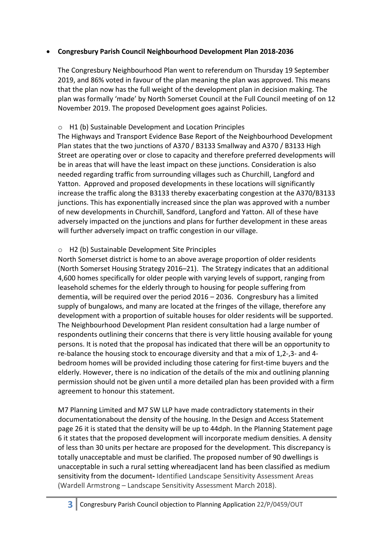## • **Congresbury Parish Council Neighbourhood Development Plan 2018-2036**

The Congresbury Neighbourhood Plan went to referendum on Thursday 19 September 2019, and 86% voted in favour of the plan meaning the plan was approved. This means that the plan now has the full weight of the development plan in decision making. The plan was formally 'made' by North Somerset Council at the Full Council meeting of on 12 November 2019. The proposed Development goes against Policies.

# o H1 (b) Sustainable Development and Location Principles

The Highways and Transport Evidence Base Report of the Neighbourhood Development Plan states that the two junctions of A370 / B3133 Smallway and A370 / B3133 High Street are operating over or close to capacity and therefore preferred developments will be in areas that will have the least impact on these junctions. Consideration is also needed regarding traffic from surrounding villages such as Churchill, Langford and Yatton. Approved and proposed developments in these locations will significantly increase the traffic along the B3133 thereby exacerbating congestion at the A370/B3133 junctions. This has exponentially increased since the plan was approved with a number of new developments in Churchill, Sandford, Langford and Yatton. All of these have adversely impacted on the junctions and plans for further development in these areas will further adversely impact on traffic congestion in our village.

## o H2 (b) Sustainable Development Site Principles

North Somerset district is home to an above average proportion of older residents (North Somerset Housing Strategy 2016–21). The Strategy indicates that an additional 4,600 homes specifically for older people with varying levels of support, ranging from leasehold schemes for the elderly through to housing for people suffering from dementia, will be required over the period 2016 – 2036. Congresbury has a limited supply of bungalows, and many are located at the fringes of the village, therefore any development with a proportion of suitable houses for older residents will be supported. The Neighbourhood Development Plan resident consultation had a large number of respondents outlining their concerns that there is very little housing available for young persons. It is noted that the proposal has indicated that there will be an opportunity to re-balance the housing stock to encourage diversity and that a mix of 1,2-,3- and 4 bedroom homes will be provided including those catering for first-time buyers and the elderly. However, there is no indication of the details of the mix and outlining planning permission should not be given until a more detailed plan has been provided with a firm agreement to honour this statement.

M7 Planning Limited and M7 SW LLP have made contradictory statements in their documentationabout the density of the housing. In the Design and Access Statement page 26 it is stated that the density will be up to 44dph. In the Planning Statement page 6 it states that the proposed development will incorporate medium densities. A density of less than 30 units per hectare are proposed for the development. This discrepancy is totally unacceptable and must be clarified. The proposed number of 90 dwellings is unacceptable in such a rural setting whereadjacent land has been classified as medium sensitivity from the document**-** Identified Landscape Sensitivity Assessment Areas (Wardell Armstrong – Landscape Sensitivity Assessment March 2018).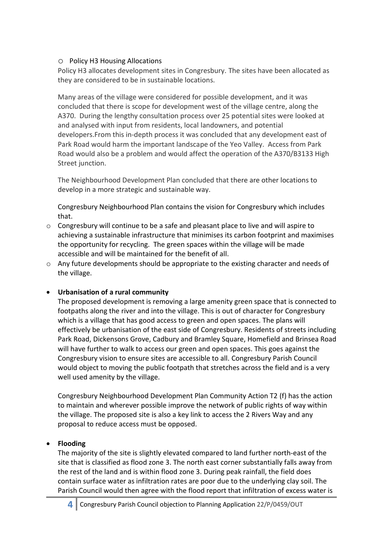#### o Policy H3 Housing Allocations

Policy H3 allocates development sites in Congresbury. The sites have been allocated as they are considered to be in sustainable locations.

Many areas of the village were considered for possible development, and it was concluded that there is scope for development west of the village centre, along the A370. During the lengthy consultation process over 25 potential sites were looked at and analysed with input from residents, local landowners, and potential developers.From this in-depth process it was concluded that any development east of Park Road would harm the important landscape of the Yeo Valley. Access from Park Road would also be a problem and would affect the operation of the A370/B3133 High Street junction.

The Neighbourhood Development Plan concluded that there are other locations to develop in a more strategic and sustainable way.

Congresbury Neighbourhood Plan contains the vision for Congresbury which includes that.

- $\circ$  Congresbury will continue to be a safe and pleasant place to live and will aspire to achieving a sustainable infrastructure that minimises its carbon footprint and maximises the opportunity for recycling. The green spaces within the village will be made accessible and will be maintained for the benefit of all.
- o Any future developments should be appropriate to the existing character and needs of the village.

## • **Urbanisation of a rural community**

The proposed development is removing a large amenity green space that is connected to footpaths along the river and into the village. This is out of character for Congresbury which is a village that has good access to green and open spaces. The plans will effectively be urbanisation of the east side of Congresbury. Residents of streets including Park Road, Dickensons Grove, Cadbury and Bramley Square, Homefield and Brinsea Road will have further to walk to access our green and open spaces. This goes against the Congresbury vision to ensure sites are accessible to all. Congresbury Parish Council would object to moving the public footpath that stretches across the field and is a very well used amenity by the village.

Congresbury Neighbourhood Development Plan Community Action T2 (f) has the action to maintain and wherever possible improve the network of public rights of way within the village. The proposed site is also a key link to access the 2 Rivers Way and any proposal to reduce access must be opposed.

## • **Flooding**

The majority of the site is slightly elevated compared to land further north-east of the site that is classified as flood zone 3. The north east corner substantially falls away from the rest of the land and is within flood zone 3. During peak rainfall, the field does contain surface water as infiltration rates are poor due to the underlying clay soil. The Parish Council would then agree with the flood report that infiltration of excess water is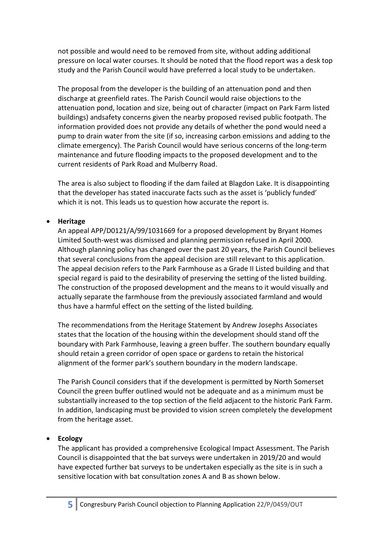not possible and would need to be removed from site, without adding additional pressure on local water courses. It should be noted that the flood report was a desk top study and the Parish Council would have preferred a local study to be undertaken.

The proposal from the developer is the building of an attenuation pond and then discharge at greenfield rates. The Parish Council would raise objections to the attenuation pond, location and size, being out of character (impact on Park Farm listed buildings) andsafety concerns given the nearby proposed revised public footpath. The information provided does not provide any details of whether the pond would need a pump to drain water from the site (if so, increasing carbon emissions and adding to the climate emergency). The Parish Council would have serious concerns of the long-term maintenance and future flooding impacts to the proposed development and to the current residents of Park Road and Mulberry Road.

The area is also subject to flooding if the dam failed at Blagdon Lake. It is disappointing that the developer has stated inaccurate facts such as the asset is 'publicly funded' which it is not. This leads us to question how accurate the report is.

#### • **Heritage**

An appeal APP/D0121/A/99/1031669 for a proposed development by Bryant Homes Limited South-west was dismissed and planning permission refused in April 2000. Although planning policy has changed over the past 20 years, the Parish Council believes that several conclusions from the appeal decision are still relevant to this application. The appeal decision refers to the Park Farmhouse as a Grade II Listed building and that special regard is paid to the desirability of preserving the setting of the listed building. The construction of the proposed development and the means to it would visually and actually separate the farmhouse from the previously associated farmland and would thus have a harmful effect on the setting of the listed building.

The recommendations from the Heritage Statement by Andrew Josephs Associates states that the location of the housing within the development should stand off the boundary with Park Farmhouse, leaving a green buffer. The southern boundary equally should retain a green corridor of open space or gardens to retain the historical alignment of the former park's southern boundary in the modern landscape.

The Parish Council considers that if the development is permitted by North Somerset Council the green buffer outlined would not be adequate and as a minimum must be substantially increased to the top section of the field adjacent to the historic Park Farm. In addition, landscaping must be provided to vision screen completely the development from the heritage asset.

#### • **Ecology**

The applicant has provided a comprehensive Ecological Impact Assessment. The Parish Council is disappointed that the bat surveys were undertaken in 2019/20 and would have expected further bat surveys to be undertaken especially as the site is in such a sensitive location with bat consultation zones A and B as shown below.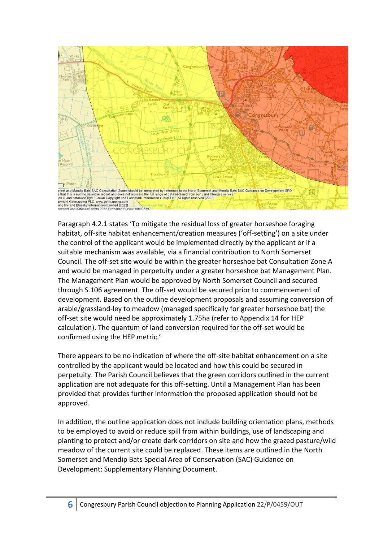

Paragraph 4.2.1 states 'To mitigate the residual loss of greater horseshoe foraging habitat, off-site habitat enhancement/creation measures ('off-setting') on a site under the control of the applicant would be implemented directly by the applicant or if a suitable mechanism was available, via a financial contribution to North Somerset Council. The off-set site would be within the greater horseshoe bat Consultation Zone A and would be managed in perpetuity under a greater horseshoe bat Management Plan. The Management Plan would be approved by North Somerset Council and secured through S.106 agreement. The off-set would be secured prior to commencement of development. Based on the outline development proposals and assuming conversion of arable/grassland-ley to meadow (managed specifically for greater horseshoe bat) the off-set site would need be approximately 1.75ha (refer to Appendix 14 for HEP calculation). The quantum of land conversion required for the off-set would be confirmed using the HEP metric.'

There appears to be no indication of where the off-site habitat enhancement on a site controlled by the applicant would be located and how this could be secured in perpetuity. The Parish Council believes that the green corridors outlined in the current application are not adequate for this off-setting. Until a Management Plan has been provided that provides further information the proposed application should not be approved.

In addition, the outline application does not include building orientation plans, methods to be employed to avoid or reduce spill from within buildings, use of landscaping and planting to protect and/or create dark corridors on site and how the grazed pasture/wild meadow of the current site could be replaced. These items are outlined in the North Somerset and Mendip Bats Special Area of Conservation (SAC) Guidance on Development: Supplementary Planning Document.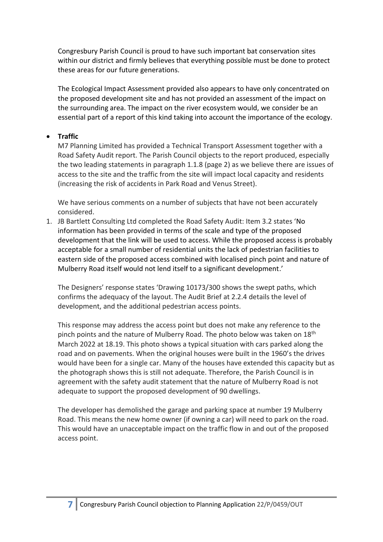Congresbury Parish Council is proud to have such important bat conservation sites within our district and firmly believes that everything possible must be done to protect these areas for our future generations.

The Ecological Impact Assessment provided also appears to have only concentrated on the proposed development site and has not provided an assessment of the impact on the surrounding area. The impact on the river ecosystem would, we consider be an essential part of a report of this kind taking into account the importance of the ecology.

#### • **Traffic**

M7 Planning Limited has provided a Technical Transport Assessment together with a Road Safety Audit report. The Parish Council objects to the report produced, especially the two leading statements in paragraph 1.1.8 (page 2) as we believe there are issues of access to the site and the traffic from the site will impact local capacity and residents (increasing the risk of accidents in Park Road and Venus Street).

We have serious comments on a number of subjects that have not been accurately considered.

1. JB Bartlett Consulting Ltd completed the Road Safety Audit: Item 3.2 states 'No information has been provided in terms of the scale and type of the proposed development that the link will be used to access. While the proposed access is probably acceptable for a small number of residential units the lack of pedestrian facilities to eastern side of the proposed access combined with localised pinch point and nature of Mulberry Road itself would not lend itself to a significant development.'

The Designers' response states 'Drawing 10173/300 shows the swept paths, which confirms the adequacy of the layout. The Audit Brief at 2.2.4 details the level of development, and the additional pedestrian access points.

This response may address the access point but does not make any reference to the pinch points and the nature of Mulberry Road. The photo below was taken on 18<sup>th</sup> March 2022 at 18.19. This photo shows a typical situation with cars parked along the road and on pavements. When the original houses were built in the 1960's the drives would have been for a single car. Many of the houses have extended this capacity but as the photograph shows this is still not adequate. Therefore, the Parish Council is in agreement with the safety audit statement that the nature of Mulberry Road is not adequate to support the proposed development of 90 dwellings.

The developer has demolished the garage and parking space at number 19 Mulberry Road. This means the new home owner (if owning a car) will need to park on the road. This would have an unacceptable impact on the traffic flow in and out of the proposed access point.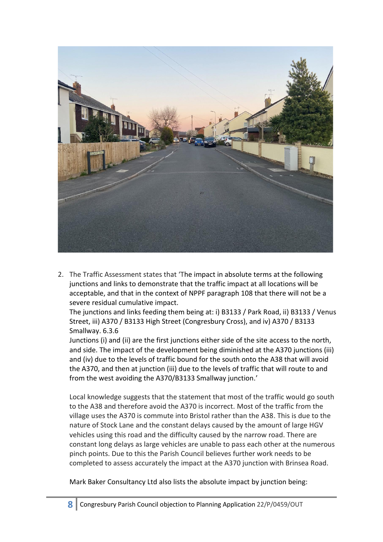

2. The Traffic Assessment states that 'The impact in absolute terms at the following junctions and links to demonstrate that the traffic impact at all locations will be acceptable, and that in the context of NPPF paragraph 108 that there will not be a severe residual cumulative impact.

The junctions and links feeding them being at: i) B3133 / Park Road, ii) B3133 / Venus Street, iii) A370 / B3133 High Street (Congresbury Cross), and iv) A370 / B3133 Smallway. 6.3.6

Junctions (i) and (ii) are the first junctions either side of the site access to the north, and side. The impact of the development being diminished at the A370 junctions (iii) and (iv) due to the levels of traffic bound for the south onto the A38 that will avoid the A370, and then at junction (iii) due to the levels of traffic that will route to and from the west avoiding the A370/B3133 Smallway junction.'

Local knowledge suggests that the statement that most of the traffic would go south to the A38 and therefore avoid the A370 is incorrect. Most of the traffic from the village uses the A370 is commute into Bristol rather than the A38. This is due to the nature of Stock Lane and the constant delays caused by the amount of large HGV vehicles using this road and the difficulty caused by the narrow road. There are constant long delays as large vehicles are unable to pass each other at the numerous pinch points. Due to this the Parish Council believes further work needs to be completed to assess accurately the impact at the A370 junction with Brinsea Road.

Mark Baker Consultancy Ltd also lists the absolute impact by junction being: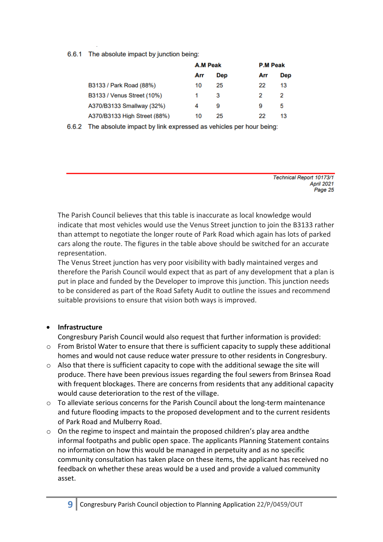6.6.1 The absolute impact by junction being:

|                              | A.M Peak |     | <b>P.M Peak</b> |     |
|------------------------------|----------|-----|-----------------|-----|
|                              | Arr      | Dep | Arr             | Dep |
| B3133 / Park Road (88%)      | 10       | 25  | 22              | 13  |
| B3133 / Venus Street (10%)   | 1        | 3   | 2               | 2   |
| A370/B3133 Smallway (32%)    | 4        | 9   | 9               | 5   |
| A370/B3133 High Street (88%) | 10       | 25  | 22              | 13  |

6.6.2 The absolute impact by link expressed as vehicles per hour being:

Technical Report 10173/1 April 2021 Page 25

The Parish Council believes that this table is inaccurate as local knowledge would indicate that most vehicles would use the Venus Street junction to join the B3133 rather than attempt to negotiate the longer route of Park Road which again has lots of parked cars along the route. The figures in the table above should be switched for an accurate representation.

The Venus Street junction has very poor visibility with badly maintained verges and therefore the Parish Council would expect that as part of any development that a plan is put in place and funded by the Developer to improve this junction. This junction needs to be considered as part of the Road Safety Audit to outline the issues and recommend suitable provisions to ensure that vision both ways is improved.

## • **Infrastructure**

Congresbury Parish Council would also request that further information is provided:

- $\circ$  From Bristol Water to ensure that there is sufficient capacity to supply these additional homes and would not cause reduce water pressure to other residents in Congresbury.
- o Also that there is sufficient capacity to cope with the additional sewage the site will produce. There have been previous issues regarding the foul sewers from Brinsea Road with frequent blockages. There are concerns from residents that any additional capacity would cause deterioration to the rest of the village.
- o To alleviate serious concerns for the Parish Council about the long-term maintenance and future flooding impacts to the proposed development and to the current residents of Park Road and Mulberry Road.
- o On the regime to inspect and maintain the proposed children's play area andthe informal footpaths and public open space. The applicants Planning Statement contains no information on how this would be managed in perpetuity and as no specific community consultation has taken place on these items, the applicant has received no feedback on whether these areas would be a used and provide a valued community asset.